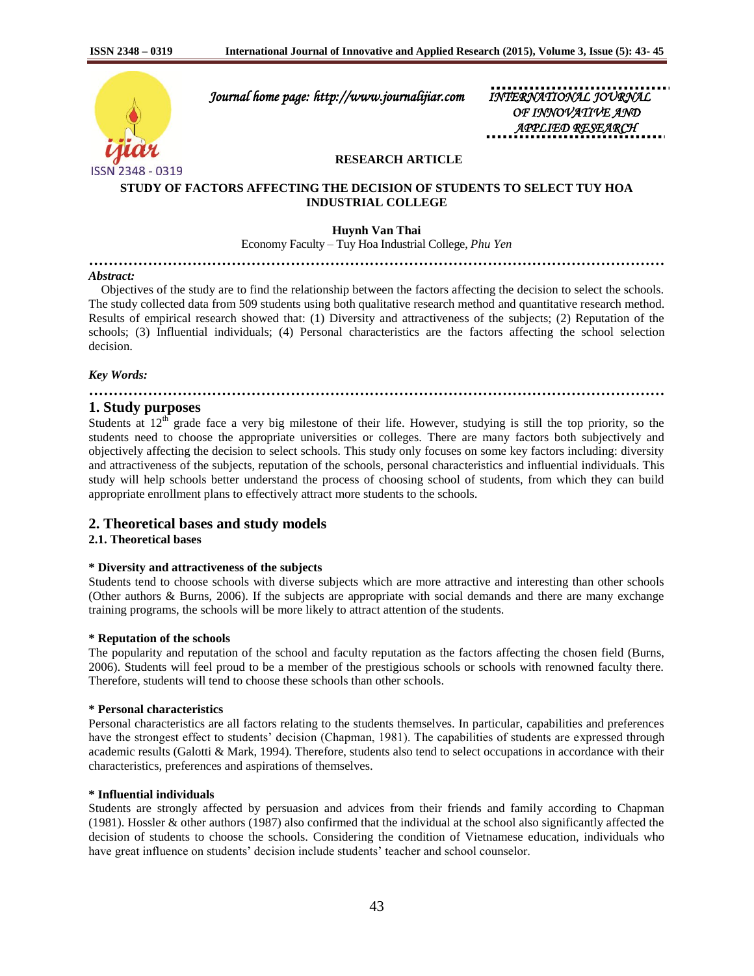

 *Journal home page: http://www.journalijiar.com INTERNATIONAL JOURNAL* 

 *OF INNOVATIVE AND APPLIED RESEARCH* 

## **RESEARCH ARTICLE**

## **STUDY OF FACTORS AFFECTING THE DECISION OF STUDENTS TO SELECT TUY HOA INDUSTRIAL COLLEGE**

**Huynh Van Thai**

Economy Faculty – Tuy Hoa Industrial College, *Phu Yen*

## **………………………………………………………………………………………………………**

#### *Abstract:*

 Objectives of the study are to find the relationship between the factors affecting the decision to select the schools. The study collected data from 509 students using both qualitative research method and quantitative research method. Results of empirical research showed that: (1) Diversity and attractiveness of the subjects; (2) Reputation of the schools; (3) Influential individuals; (4) Personal characteristics are the factors affecting the school selection decision.

#### *Key Words:*

# **………………………………………………………………………………………………………**

## **1. Study purposes**

Students at  $12<sup>th</sup>$  grade face a very big milestone of their life. However, studying is still the top priority, so the students need to choose the appropriate universities or colleges. There are many factors both subjectively and objectively affecting the decision to select schools. This study only focuses on some key factors including: diversity and attractiveness of the subjects, reputation of the schools, personal characteristics and influential individuals. This study will help schools better understand the process of choosing school of students, from which they can build appropriate enrollment plans to effectively attract more students to the schools.

## **2. Theoretical bases and study models**

#### **2.1. Theoretical bases**

### **\* Diversity and attractiveness of the subjects**

Students tend to choose schools with diverse subjects which are more attractive and interesting than other schools (Other authors & Burns, 2006). If the subjects are appropriate with social demands and there are many exchange training programs, the schools will be more likely to attract attention of the students.

#### **\* Reputation of the schools**

The popularity and reputation of the school and faculty reputation as the factors affecting the chosen field (Burns, 2006). Students will feel proud to be a member of the prestigious schools or schools with renowned faculty there. Therefore, students will tend to choose these schools than other schools.

#### **\* Personal characteristics**

Personal characteristics are all factors relating to the students themselves. In particular, capabilities and preferences have the strongest effect to students' decision (Chapman, 1981). The capabilities of students are expressed through academic results (Galotti & Mark, 1994). Therefore, students also tend to select occupations in accordance with their characteristics, preferences and aspirations of themselves.

#### **\* Influential individuals**

Students are strongly affected by persuasion and advices from their friends and family according to Chapman (1981). Hossler & other authors (1987) also confirmed that the individual at the school also significantly affected the decision of students to choose the schools. Considering the condition of Vietnamese education, individuals who have great influence on students' decision include students' teacher and school counselor.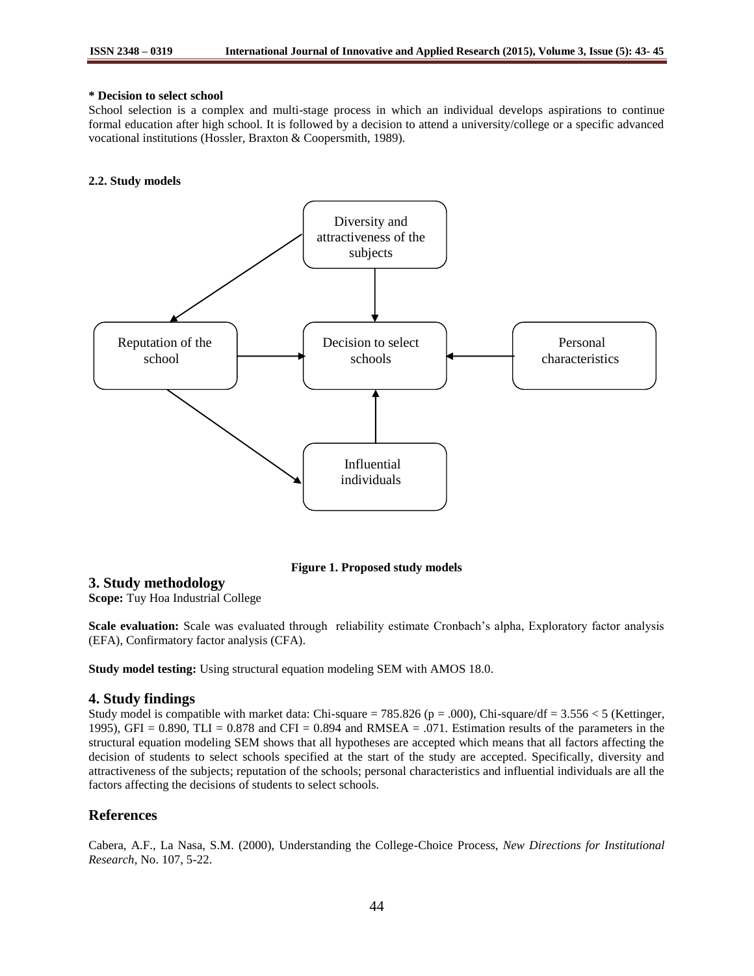### **\* Decision to select school**

School selection is a complex and multi-stage process in which an individual develops aspirations to continue formal education after high school. It is followed by a decision to attend a university/college or a specific advanced vocational institutions (Hossler, Braxton & Coopersmith, 1989).

#### **2.2. Study models**



**Figure 1. Proposed study models**

# **3. Study methodology**

**Scope:** Tuy Hoa Industrial College

**Scale evaluation:** Scale was evaluated through reliability estimate Cronbach's alpha, Exploratory factor analysis (EFA), Confirmatory factor analysis (CFA).

**Study model testing:** Using structural equation modeling SEM with AMOS 18.0.

## **4. Study findings**

Study model is compatible with market data: Chi-square = 785.826 (p = .000), Chi-square/df = 3.556 < 5 (Kettinger, 1995), GFI =  $0.890$ , TLI =  $0.878$  and CFI =  $0.894$  and RMSEA =  $.071$ . Estimation results of the parameters in the structural equation modeling SEM shows that all hypotheses are accepted which means that all factors affecting the decision of students to select schools specified at the start of the study are accepted. Specifically, diversity and attractiveness of the subjects; reputation of the schools; personal characteristics and influential individuals are all the factors affecting the decisions of students to select schools.

# **References**

Cabera, A.F., La Nasa, S.M. (2000), Understanding the College-Choice Process, *New Directions for Institutional Research*, No. 107, 5-22.